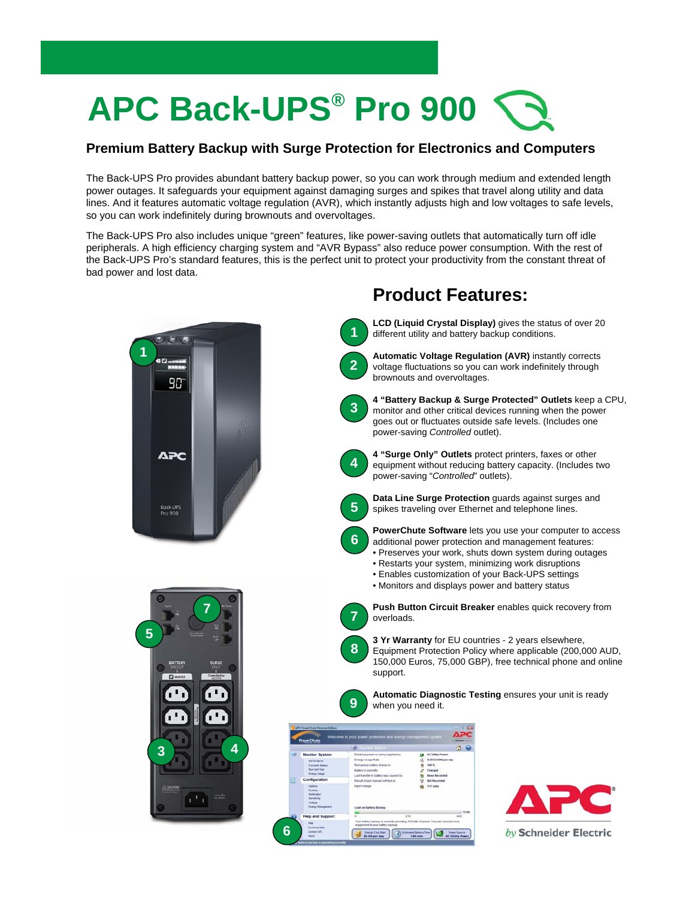## **APC Back-UPS® Pro 900**

## **Premium Battery Backup with Surge Protection for Electronics and Computers**

The Back-UPS Pro provides abundant battery backup power, so you can work through medium and extended length power outages. It safeguards your equipment against damaging surges and spikes that travel along utility and data lines. And it features automatic voltage regulation (AVR), which instantly adjusts high and low voltages to safe levels, so you can work indefinitely during brownouts and overvoltages.

The Back-UPS Pro also includes unique "green" features, like power-saving outlets that automatically turn off idle peripherals. A high efficiency charging system and "AVR Bypass" also reduce power consumption. With the rest of the Back-UPS Pro's standard features, this is the perfect unit to protect your productivity from the constant threat of bad power and lost data.